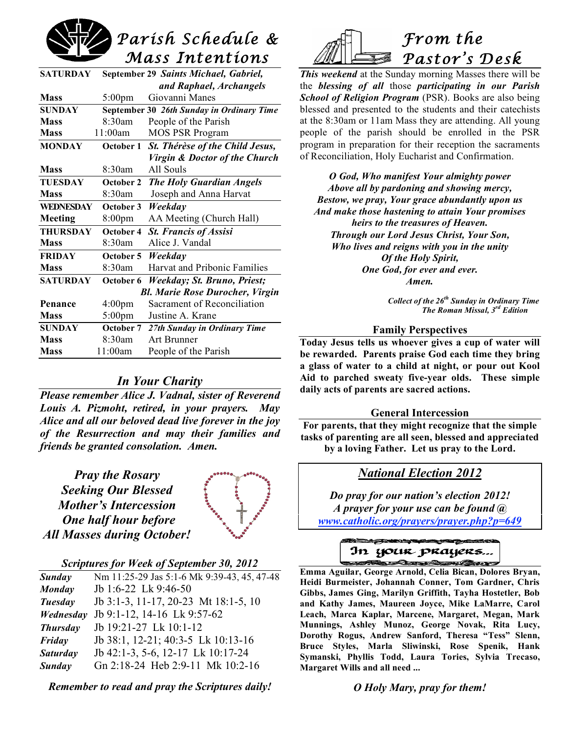

| <b>SATURDAY</b>  |                    | September 29 Saints Michael, Gabriel,     |
|------------------|--------------------|-------------------------------------------|
|                  |                    | and Raphael, Archangels                   |
| <b>Mass</b>      | $5:00 \text{pm}$   | Giovanni Manes                            |
| <b>SUNDAY</b>    |                    | September 30 26th Sunday in Ordinary Time |
| <b>Mass</b>      | 8:30am             | People of the Parish                      |
| <b>Mass</b>      | 11:00am            | <b>MOS PSR Program</b>                    |
| <b>MONDAY</b>    |                    | October 1 St. Thérèse of the Child Jesus, |
|                  |                    | Virgin & Doctor of the Church             |
| <b>Mass</b>      | 8:30am             | All Souls                                 |
| <b>TUESDAY</b>   | October 2          | <b>The Holy Guardian Angels</b>           |
| <b>Mass</b>      | 8:30am             | Joseph and Anna Harvat                    |
| <b>WEDNESDAY</b> | October 3          | Weekday                                   |
| Meeting          | 8:00 <sub>pm</sub> | AA Meeting (Church Hall)                  |
| <b>THURSDAY</b>  | October 4          | <b>St. Francis of Assisi</b>              |
| <b>Mass</b>      | 8:30am             | Alice J. Vandal                           |
| <b>FRIDAY</b>    | October 5          | Weekday                                   |
| <b>Mass</b>      | 8:30am             | Harvat and Pribonic Families              |
| <b>SATURDAY</b>  | October 6          | Weekday; St. Bruno, Priest;               |
|                  |                    | <b>Bl. Marie Rose Durocher, Virgin</b>    |
| Penance          | 4:00 <sub>pm</sub> | Sacrament of Reconciliation               |
| <b>Mass</b>      | 5:00pm             | Justine A. Krane                          |
| <b>SUNDAY</b>    |                    | October 7 27th Sunday in Ordinary Time    |
| <b>Mass</b>      | 8:30am             | Art Brunner                               |
| <b>Mass</b>      | 11:00am            | People of the Parish                      |

# *In Your Charity*

*Please remember Alice J. Vadnal, sister of Reverend Louis A. Pizmoht, retired, in your prayers. May Alice and all our beloved dead live forever in the joy of the Resurrection and may their families and friends be granted consolation. Amen.*

*Pray the Rosary Seeking Our Blessed Mother's Intercession One half hour before All Masses during October!*



# *Scriptures for Week of September 30, 2012*

| <b>Sunday</b>   | Nm 11:25-29 Jas 5:1-6 Mk 9:39-43, 45, 47-48 |
|-----------------|---------------------------------------------|
| Monday          | Jb 1:6-22 Lk 9:46-50                        |
| Tuesday         | Jb 3:1-3, 11-17, 20-23 Mt 18:1-5, 10        |
| Wednesday       | Jb 9:1-12, 14-16 Lk 9:57-62                 |
| <b>Thursday</b> | Jb 19:21-27 Lk 10:1-12                      |
| Friday          | Jb 38:1, 12-21; 40:3-5 Lk 10:13-16          |
| <b>Saturday</b> | Jb 42:1-3, 5-6, 12-17 Lk 10:17-24           |
| Sunday          | Gn 2:18-24 Heb 2:9-11 Mk 10:2-16            |
|                 |                                             |

*Remember to read and pray the Scriptures daily!*



*This weekend* at the Sunday morning Masses there will be the *blessing of all* those *participating in our Parish School of Religion Program* (PSR). Books are also being blessed and presented to the students and their catechists at the 8:30am or 11am Mass they are attending. All young people of the parish should be enrolled in the PSR program in preparation for their reception the sacraments of Reconciliation, Holy Eucharist and Confirmation.

*O God, Who manifest Your almighty power Above all by pardoning and showing mercy, Bestow, we pray, Your grace abundantly upon us And make those hastening to attain Your promises heirs to the treasures of Heaven. Through our Lord Jesus Christ, Your Son, Who lives and reigns with you in the unity Of the Holy Spirit, One God, for ever and ever. Amen.*

> *Collect of the 26th Sunday in Ordinary Time The Roman Missal, 3rd Edition*

### **Family Perspectives**

**Today Jesus tells us whoever gives a cup of water will be rewarded. Parents praise God each time they bring a glass of water to a child at night, or pour out Kool Aid to parched sweaty five-year olds. These simple daily acts of parents are sacred actions.**

#### **General Intercession**

**For parents, that they might recognize that the simple tasks of parenting are all seen, blessed and appreciated by a loving Father. Let us pray to the Lord.**

# *National Election 2012*

*Do pray for our nation's election 2012! A prayer for your use can be found @ www.catholic.org/prayers/prayer.php?p=649*



 **Emma Aguilar, George Arnold, Celia Bican, Dolores Bryan, Heidi Burmeister, Johannah Conner, Tom Gardner, Chris Gibbs, James Ging, Marilyn Griffith, Tayha Hostetler, Bob and Kathy James, Maureen Joyce, Mike LaMarre, Carol Leach, Marca Kaplar, Marcene, Margaret, Megan, Mark Munnings, Ashley Munoz, George Novak, Rita Lucy, Dorothy Rogus, Andrew Sanford, Theresa "Tess" Slenn, Bruce Styles, Marla Sliwinski, Rose Spenik, Hank Symanski, Phyllis Todd, Laura Tories, Sylvia Trecaso, Margaret Wills and all need ...**

*O Holy Mary, pray for them!*